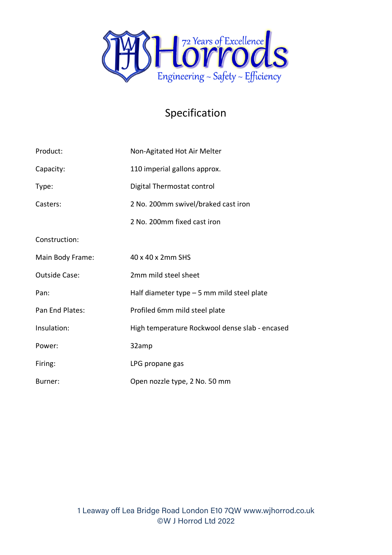

## Specification

| Product:             | Non-Agitated Hot Air Melter                    |
|----------------------|------------------------------------------------|
| Capacity:            | 110 imperial gallons approx.                   |
| Type:                | Digital Thermostat control                     |
| Casters:             | 2 No. 200mm swivel/braked cast iron            |
|                      | 2 No. 200mm fixed cast iron                    |
| Construction:        |                                                |
| Main Body Frame:     | 40 x 40 x 2mm SHS                              |
| <b>Outside Case:</b> | 2mm mild steel sheet                           |
| Pan:                 | Half diameter type $-5$ mm mild steel plate    |
| Pan End Plates:      | Profiled 6mm mild steel plate                  |
| Insulation:          | High temperature Rockwool dense slab - encased |
| Power:               | 32amp                                          |
| Firing:              | LPG propane gas                                |
| Burner:              | Open nozzle type, 2 No. 50 mm                  |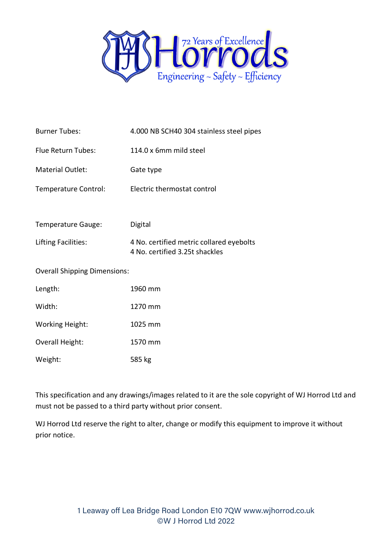

| <b>Burner Tubes:</b>                | 4.000 NB SCH40 304 stainless steel pipes                                   |
|-------------------------------------|----------------------------------------------------------------------------|
| Flue Return Tubes:                  | 114.0 x 6mm mild steel                                                     |
| <b>Material Outlet:</b>             | Gate type                                                                  |
| Temperature Control:                | Electric thermostat control                                                |
|                                     |                                                                            |
| Temperature Gauge:                  | Digital                                                                    |
| Lifting Facilities:                 | 4 No. certified metric collared eyebolts<br>4 No. certified 3.25t shackles |
| <b>Overall Shipping Dimensions:</b> |                                                                            |
| Length:                             | 1960 mm                                                                    |
| Width:                              | 1270 mm                                                                    |
| <b>Working Height:</b>              | 1025 mm                                                                    |
| Overall Height:                     | 1570 mm                                                                    |
| Weight:                             | 585 kg                                                                     |

This specification and any drawings/images related to it are the sole copyright of WJ Horrod Ltd and must not be passed to a third party without prior consent.

WJ Horrod Ltd reserve the right to alter, change or modify this equipment to improve it without prior notice.